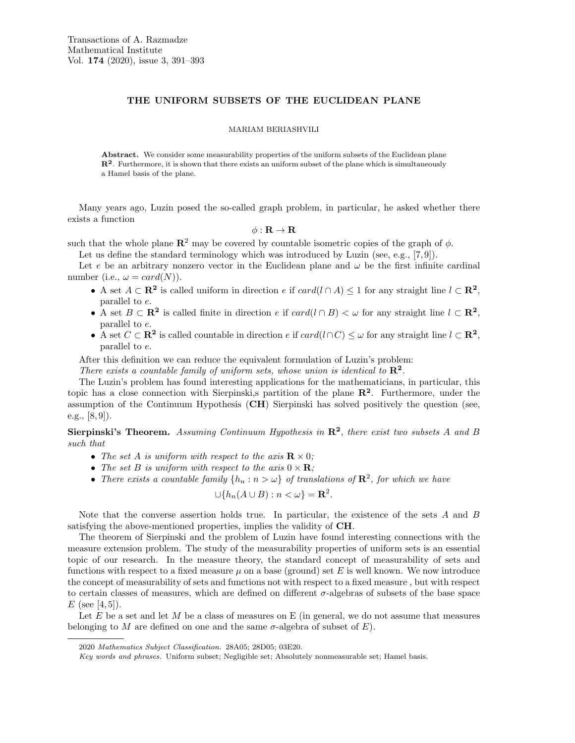# THE UNIFORM SUBSETS OF THE EUCLIDEAN PLANE

#### MARIAM BERIASHVILI

Abstract. We consider some measurability properties of the uniform subsets of the Euclidean plane  $\mathbb{R}^2$ . Furthermore, it is shown that there exists an uniform subset of the plane which is simultaneously a Hamel basis of the plane.

Many years ago, Luzin posed the so-called graph problem, in particular, he asked whether there exists a function

## $\phi : {\bf R} \rightarrow {\bf R}$

such that the whole plane  $\mathbb{R}^2$  may be covered by countable isometric copies of the graph of  $\phi$ .

Let us define the standard terminology which was introduced by Luzin (see, e.g., [7,9]).

Let  $e$  be an arbitrary nonzero vector in the Euclidean plane and  $\omega$  be the first infinite cardinal number (i.e.,  $\omega = \text{card}(N)$ ).

- A set  $A \subset \mathbb{R}^2$  is called uniform in direction e if  $card(l \cap A) \leq 1$  for any straight line  $l \subset \mathbb{R}^2$ , parallel to e.
- A set  $B \subset \mathbb{R}^2$  is called finite in direction e if  $card(l \cap B) < \omega$  for any straight line  $l \subset \mathbb{R}^2$ , parallel to e.
- A set  $C \subset \mathbf{R}^2$  is called countable in direction e if  $card(l \cap C) \leq \omega$  for any straight line  $l \subset \mathbf{R}^2$ , parallel to e.

After this definition we can reduce the equivalent formulation of Luzin's problem:

There exists a countable family of uniform sets, whose union is identical to  $\mathbb{R}^2$ .

The Luzin's problem has found interesting applications for the mathematicians, in particular, this topic has a close connection with Sierpinski, spartition of the plane  $\mathbb{R}^2$ . Furthermore, under the assumption of the Continuum Hypothesis (CH) Sierpinski has solved positively the question (see, e.g.,  $[8, 9]$ ).

Sierpinski's Theorem. Assuming Continuum Hypothesis in  $\mathbb{R}^2$ , there exist two subsets A and B such that

- The set A is uniform with respect to the axis  $\mathbf{R} \times 0$ :
- The set B is uniform with respect to the axis  $0 \times \mathbf{R}$ ;
- There exists a countable family  $\{h_n : n > \omega\}$  of translations of  $\mathbb{R}^2$ , for which we have

$$
\bigcup \{ h_n(A \cup B) : n < \omega \} = \mathbf{R}^2.
$$

Note that the converse assertion holds true. In particular, the existence of the sets A and B satisfying the above-mentioned properties, implies the validity of CH.

The theorem of Sierpinski and the problem of Luzin have found interesting connections with the measure extension problem. The study of the measurability properties of uniform sets is an essential topic of our research. In the measure theory, the standard concept of measurability of sets and functions with respect to a fixed measure  $\mu$  on a base (ground) set E is well known. We now introduce the concept of measurability of sets and functions not with respect to a fixed measure , but with respect to certain classes of measures, which are defined on different  $\sigma$ -algebras of subsets of the base space  $E$  (see [4, 5]).

Let  $E$  be a set and let  $M$  be a class of measures on E (in general, we do not assume that measures belonging to M are defined on one and the same  $\sigma$ -algebra of subset of E).

<sup>2020</sup> Mathematics Subject Classification. 28A05; 28D05; 03E20.

Key words and phrases. Uniform subset; Negligible set; Absolutely nonmeasurable set; Hamel basis.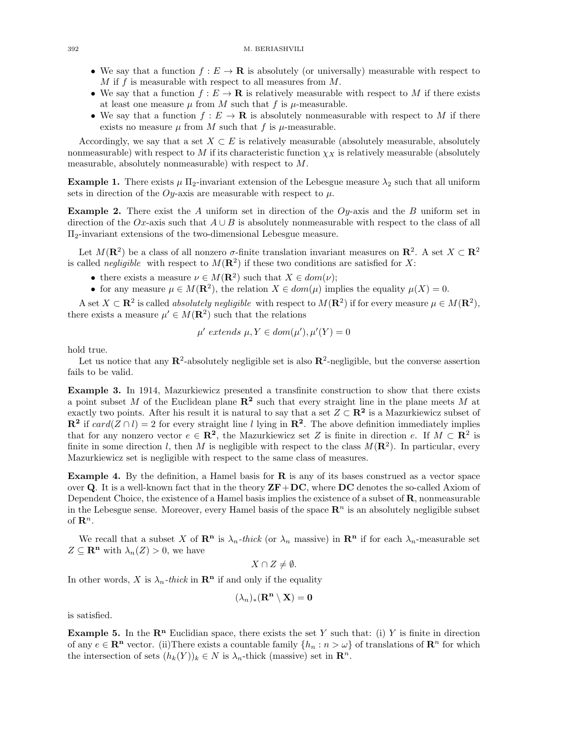- We say that a function  $f: E \to \mathbf{R}$  is absolutely (or universally) measurable with respect to  $M$  if  $f$  is measurable with respect to all measures from  $M$ .
- We say that a function  $f: E \to \mathbf{R}$  is relatively measurable with respect to M if there exists at least one measure  $\mu$  from M such that f is  $\mu$ -measurable.
- We say that a function  $f: E \to \mathbf{R}$  is absolutely nonmeasurable with respect to M if there exists no measure  $\mu$  from M such that f is  $\mu$ -measurable.

Accordingly, we say that a set  $X \subset E$  is relatively measurable (absolutely measurable, absolutely nonmeasurable) with respect to M if its characteristic function  $\chi_X$  is relatively measurable (absolutely measurable, absolutely nonmeasurable) with respect to M.

**Example 1.** There exists  $\mu$   $\Pi_2$ -invariant extension of the Lebesgue measure  $\lambda_2$  such that all uniform sets in direction of the Oy-axis are measurable with respect to  $\mu$ .

**Example 2.** There exist the A uniform set in direction of the  $Oy$ -axis and the B uniform set in direction of the Ox-axis such that  $A \cup B$  is absolutely nonmeasurable with respect to the class of all Π2-invariant extensions of the two-dimensional Lebesgue measure.

Let  $M(\mathbf{R}^2)$  be a class of all nonzero  $\sigma$ -finite translation invariant measures on  $\mathbf{R}^2$ . A set  $X \subset \mathbf{R}^2$ is called negligible with respect to  $M(\mathbf{R}^2)$  if these two conditions are satisfied for X:

- there exists a measure  $\nu \in M(\mathbf{R}^2)$  such that  $X \in dom(\nu)$ ;
- for any measure  $\mu \in M(\mathbf{R}^2)$ , the relation  $X \in dom(\mu)$  implies the equality  $\mu(X) = 0$ .

A set  $X \subset \mathbf{R}^2$  is called *absolutely negligible* with respect to  $M(\mathbf{R}^2)$  if for every measure  $\mu \in M(\mathbf{R}^2)$ , there exists a measure  $\mu' \in M(\mathbf{R}^2)$  such that the relations

$$
\mu' \text{ extends } \mu, Y \in \text{dom}(\mu'), \mu'(Y) = 0
$$

hold true.

Let us notice that any  $\mathbb{R}^2$ -absolutely negligible set is also  $\mathbb{R}^2$ -negligible, but the converse assertion fails to be valid.

Example 3. In 1914, Mazurkiewicz presented a transfinite construction to show that there exists a point subset M of the Euclidean plane  $\mathbb{R}^2$  such that every straight line in the plane meets M at exactly two points. After his result it is natural to say that a set  $Z \subset \mathbb{R}^2$  is a Mazurkiewicz subset of  $\mathbb{R}^2$  if  $card(Z \cap l) = 2$  for every straight line l lying in  $\mathbb{R}^2$ . The above definition immediately implies that for any nonzero vector  $e \in \mathbb{R}^2$ , the Mazurkiewicz set Z is finite in direction e. If  $M \subset \mathbb{R}^2$  is finite in some direction l, then M is negligible with respect to the class  $M(\mathbf{R}^2)$ . In particular, every Mazurkiewicz set is negligible with respect to the same class of measures.

**Example 4.** By the definition, a Hamel basis for  $\bf{R}$  is any of its bases construed as a vector space over Q. It is a well-known fact that in the theory  $\mathbf{ZF}+\mathbf{DC}$ , where DC denotes the so-called Axiom of Dependent Choice, the existence of a Hamel basis implies the existence of a subset of R, nonmeasurable in the Lebesgue sense. Moreover, every Hamel basis of the space  $\mathbb{R}^n$  is an absolutely negligible subset of  $\mathbf{R}^n$ .

We recall that a subset X of  $\mathbb{R}^n$  is  $\lambda_n$ -thick (or  $\lambda_n$  massive) in  $\mathbb{R}^n$  if for each  $\lambda_n$ -measurable set  $Z \subseteq \mathbf{R}^n$  with  $\lambda_n(Z) > 0$ , we have

 $X \cap Z \neq \emptyset$ .

In other words, X is  $\lambda_n$ -thick in  $\mathbb{R}^n$  if and only if the equality

$$
(\lambda_n)_*(\mathbf{R}^\mathbf{n}\setminus \mathbf{X})=\mathbf{0}
$$

is satisfied.

**Example 5.** In the  $\mathbb{R}^n$  Euclidian space, there exists the set Y such that: (i) Y is finite in direction of any  $e \in \mathbb{R}^n$  vector. (ii)There exists a countable family  $\{h_n : n > \omega\}$  of translations of  $\mathbb{R}^n$  for which the intersection of sets  $(h_k(Y))_k \in N$  is  $\lambda_n$ -thick (massive) set in  $\mathbb{R}^n$ .